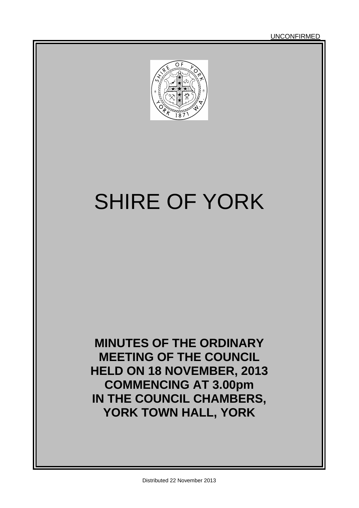UNCONFIRMED



# SHIRE OF YORK

**MINUTES OF THE ORDINARY MEETING OF THE COUNCIL HELD ON 18 NOVEMBER, 2013 COMMENCING AT 3.00pm IN THE COUNCIL CHAMBERS, YORK TOWN HALL, YORK**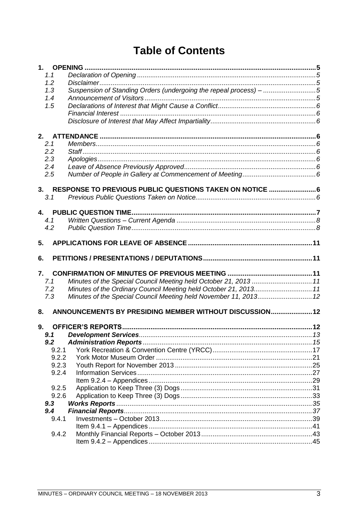# **Table of Contents**

|    | 1.1   |                                                                   |  |
|----|-------|-------------------------------------------------------------------|--|
|    | 1.2   |                                                                   |  |
|    | 1.3   | Suspension of Standing Orders (undergoing the repeal process) - 5 |  |
|    | 1.4   |                                                                   |  |
|    | 1.5   |                                                                   |  |
|    |       |                                                                   |  |
|    |       |                                                                   |  |
|    |       |                                                                   |  |
| 2. | 2.1   |                                                                   |  |
|    | 2.2   |                                                                   |  |
|    | 2.3   |                                                                   |  |
|    |       |                                                                   |  |
|    | 2.4   |                                                                   |  |
|    | 2.5   |                                                                   |  |
| 3. |       |                                                                   |  |
|    | 3.1   |                                                                   |  |
|    |       |                                                                   |  |
|    |       |                                                                   |  |
|    | 4.1   |                                                                   |  |
|    | 4.2   |                                                                   |  |
| 5. |       |                                                                   |  |
|    |       |                                                                   |  |
| 6. |       |                                                                   |  |
| 7. |       |                                                                   |  |
|    | 7.1   | Minutes of the Special Council Meeting held October 21, 2013  11  |  |
|    | 7.2   | Minutes of the Ordinary Council Meeting held October 21, 2013 11  |  |
|    | 7.3   | Minutes of the Special Council Meeting held November 11, 2013 12  |  |
|    |       |                                                                   |  |
| 8. |       | ANNOUNCEMENTS BY PRESIDING MEMBER WITHOUT DISCUSSION 12           |  |
|    |       |                                                                   |  |
| 9. |       |                                                                   |  |
|    | 9.1   |                                                                   |  |
|    | 9.2   |                                                                   |  |
|    | 9.2.1 |                                                                   |  |
|    | 9.2.2 |                                                                   |  |
|    | 9.2.3 |                                                                   |  |
|    | 9.2.4 |                                                                   |  |
|    |       |                                                                   |  |
|    | 9.2.5 |                                                                   |  |
|    | 9.2.6 |                                                                   |  |
|    | 9.3   |                                                                   |  |
|    | 9.4   |                                                                   |  |
|    | 9.4.1 |                                                                   |  |
|    |       |                                                                   |  |
|    | 9.4.2 |                                                                   |  |
|    |       |                                                                   |  |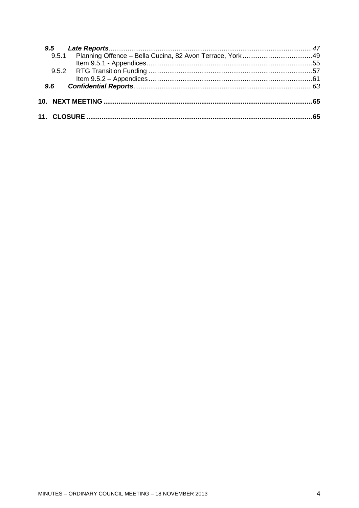| $9.6^{\circ}$ |  |
|---------------|--|
|               |  |
|               |  |
|               |  |
|               |  |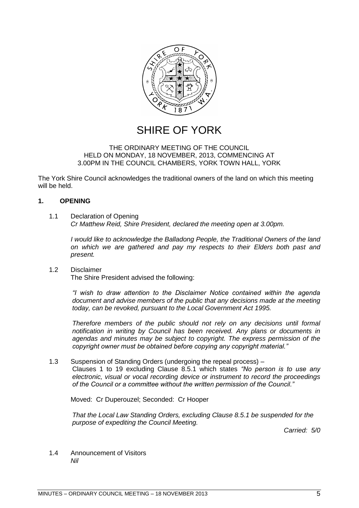

# SHIRE OF YORK

#### THE ORDINARY MEETING OF THE COUNCIL HELD ON MONDAY, 18 NOVEMBER, 2013, COMMENCING AT 3.00PM IN THE COUNCIL CHAMBERS, YORK TOWN HALL, YORK

The York Shire Council acknowledges the traditional owners of the land on which this meeting will be held.

#### <span id="page-4-0"></span>**1. OPENING**

#### <span id="page-4-1"></span>1.1 Declaration of Opening

*Cr Matthew Reid, Shire President, declared the meeting open at 3.00pm.*

*I would like to acknowledge the Balladong People, the Traditional Owners of the land on which we are gathered and pay my respects to their Elders both past and present.*

#### <span id="page-4-2"></span>1.2 Disclaimer The Shire President advised the following:

*―I wish to draw attention to the Disclaimer Notice contained within the agenda document and advise members of the public that any decisions made at the meeting today, can be revoked, pursuant to the Local Government Act 1995.* 

*Therefore members of the public should not rely on any decisions until formal notification in writing by Council has been received. Any plans or documents in agendas and minutes may be subject to copyright. The express permission of the copyright owner must be obtained before copying any copyright material.‖*

#### <span id="page-4-3"></span>1.3 Suspension of Standing Orders (undergoing the repeal process) –

Clauses 1 to 19 excluding Clause 8.5.1 which states "No person is to use any *electronic, visual or vocal recording device or instrument to record the proceedings of the Council or a committee without the written permission of the Council.‖*

Moved: Cr Duperouzel; Seconded: Cr Hooper

*That the Local Law Standing Orders, excluding Clause 8.5.1 be suspended for the purpose of expediting the Council Meeting.*

*Carried: 5/0*

<span id="page-4-4"></span>1.4 Announcement of Visitors *Nil*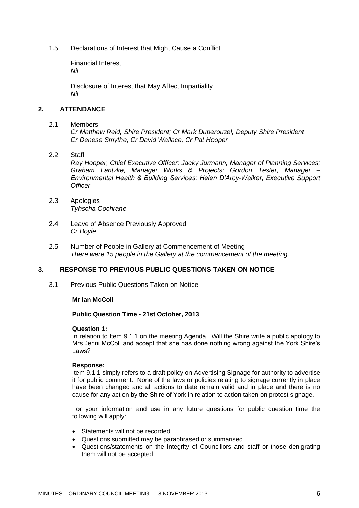<span id="page-5-1"></span><span id="page-5-0"></span>1.5 Declarations of Interest that Might Cause a Conflict

Financial Interest *Nil*

Disclosure of Interest that May Affect Impartiality *Nil*

#### <span id="page-5-3"></span><span id="page-5-2"></span>**2. ATTENDANCE**

#### <span id="page-5-4"></span>2.1 Members

*Cr Matthew Reid, Shire President; Cr Mark Duperouzel, Deputy Shire President Cr Denese Smythe, Cr David Wallace, Cr Pat Hooper*

#### <span id="page-5-5"></span>2.2 Staff

*Ray Hooper, Chief Executive Officer; Jacky Jurmann, Manager of Planning Services; Graham Lantzke, Manager Works & Projects; Gordon Tester, Manager – Environmental Health & Building Services; Helen D'Arcy-Walker, Executive Support Officer*

- <span id="page-5-6"></span>2.3 Apologies *Tyhscha Cochrane*
- <span id="page-5-7"></span>2.4 Leave of Absence Previously Approved *Cr Boyle*
- <span id="page-5-8"></span>2.5 Number of People in Gallery at Commencement of Meeting *There were 15 people in the Gallery at the commencement of the meeting.*

#### <span id="page-5-9"></span>**3. RESPONSE TO PREVIOUS PUBLIC QUESTIONS TAKEN ON NOTICE**

<span id="page-5-10"></span>3.1 Previous Public Questions Taken on Notice

#### **Mr Ian McColl**

#### **Public Question Time - 21st October, 2013**

#### **Question 1:**

In relation to Item 9.1.1 on the meeting Agenda. Will the Shire write a public apology to Mrs Jenni McColl and accept that she has done nothing wrong against the York Shire"s Laws?

#### **Response:**

Item 9.1.1 simply refers to a draft policy on Advertising Signage for authority to advertise it for public comment. None of the laws or policies relating to signage currently in place have been changed and all actions to date remain valid and in place and there is no cause for any action by the Shire of York in relation to action taken on protest signage.

For your information and use in any future questions for public question time the following will apply:

- Statements will not be recorded
- Questions submitted may be paraphrased or summarised
- Questions/statements on the integrity of Councillors and staff or those denigrating them will not be accepted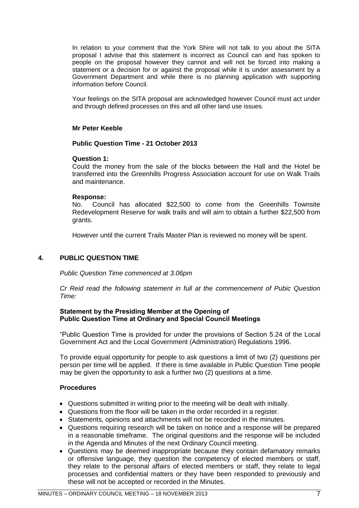In relation to your comment that the York Shire will not talk to you about the SITA proposal I advise that this statement is incorrect as Council can and has spoken to people on the proposal however they cannot and will not be forced into making a statement or a decision for or against the proposal while it is under assessment by a Government Department and while there is no planning application with supporting information before Council.

Your feelings on the SITA proposal are acknowledged however Council must act under and through defined processes on this and all other land use issues.

#### **Mr Peter Keeble**

**Public Question Time - 21 October 2013**

#### **Question 1:**

Could the money from the sale of the blocks between the Hall and the Hotel be transferred into the Greenhills Progress Association account for use on Walk Trails and maintenance.

#### **Response:**

No. Council has allocated \$22,500 to come from the Greenhills Townsite Redevelopment Reserve for walk trails and will aim to obtain a further \$22,500 from grants.

However until the current Trails Master Plan is reviewed no money will be spent.

#### <span id="page-6-0"></span>**4. PUBLIC QUESTION TIME**

*Public Question Time commenced at 3.06pm*

*Cr Reid read the following statement in full at the commencement of Pubic Question Time:*

#### **Statement by the Presiding Member at the Opening of Public Question Time at Ordinary and Special Council Meetings**

"Public Question Time is provided for under the provisions of Section 5.24 of the Local Government Act and the Local Government (Administration) Regulations 1996.

To provide equal opportunity for people to ask questions a limit of two (2) questions per person per time will be applied. If there is time available in Public Question Time people may be given the opportunity to ask a further two (2) questions at a time.

#### **Procedures**

- Questions submitted in writing prior to the meeting will be dealt with initially.
- Questions from the floor will be taken in the order recorded in a register.
- Statements, opinions and attachments will not be recorded in the minutes.
- Questions requiring research will be taken on notice and a response will be prepared in a reasonable timeframe. The original questions and the response will be included in the Agenda and Minutes of the next Ordinary Council meeting.
- Questions may be deemed inappropriate because they contain defamatory remarks or offensive language, they question the competency of elected members or staff, they relate to the personal affairs of elected members or staff, they relate to legal processes and confidential matters or they have been responded to previously and these will not be accepted or recorded in the Minutes.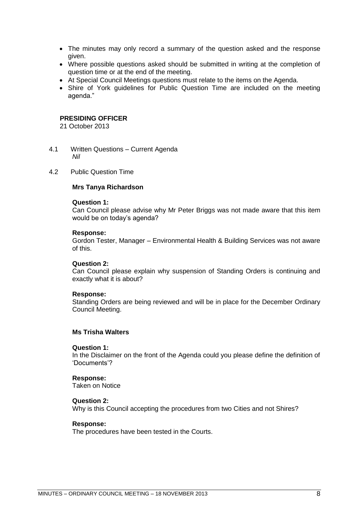- The minutes may only record a summary of the question asked and the response given.
- Where possible questions asked should be submitted in writing at the completion of question time or at the end of the meeting.
- At Special Council Meetings questions must relate to the items on the Agenda.
- Shire of York guidelines for Public Question Time are included on the meeting agenda."

#### **PRESIDING OFFICER**

21 October 2013

- <span id="page-7-0"></span>4.1 Written Questions – Current Agenda *Nil*
- <span id="page-7-1"></span>4.2 Public Question Time

#### **Mrs Tanya Richardson**

#### **Question 1:**

Can Council please advise why Mr Peter Briggs was not made aware that this item would be on today's agenda?

#### **Response:**

Gordon Tester, Manager – Environmental Health & Building Services was not aware of this.

#### **Question 2:**

Can Council please explain why suspension of Standing Orders is continuing and exactly what it is about?

#### **Response:**

Standing Orders are being reviewed and will be in place for the December Ordinary Council Meeting.

#### **Ms Trisha Walters**

#### **Question 1:**

In the Disclaimer on the front of the Agenda could you please define the definition of "Documents"?

#### **Response:**

Taken on Notice

#### **Question 2:**

Why is this Council accepting the procedures from two Cities and not Shires?

#### **Response:**

The procedures have been tested in the Courts.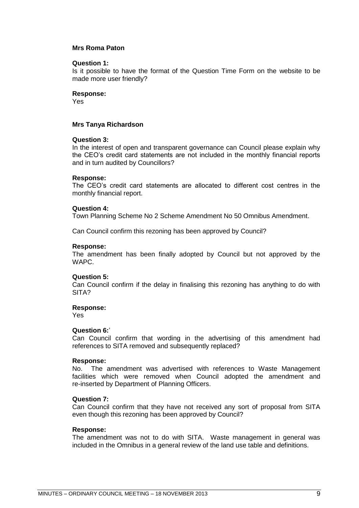#### **Mrs Roma Paton**

#### **Question 1:**

Is it possible to have the format of the Question Time Form on the website to be made more user friendly?

#### **Response:**

Yes

#### **Mrs Tanya Richardson**

#### **Question 3:**

In the interest of open and transparent governance can Council please explain why the CEO"s credit card statements are not included in the monthly financial reports and in turn audited by Councillors?

#### **Response:**

The CEO"s credit card statements are allocated to different cost centres in the monthly financial report.

#### **Question 4:**

Town Planning Scheme No 2 Scheme Amendment No 50 Omnibus Amendment.

Can Council confirm this rezoning has been approved by Council?

#### **Response:**

The amendment has been finally adopted by Council but not approved by the WAPC.

#### **Question 5:**

Can Council confirm if the delay in finalising this rezoning has anything to do with SITA?

#### **Response:**

Yes

#### **Question 6:**"

Can Council confirm that wording in the advertising of this amendment had references to SITA removed and subsequently replaced?

#### **Response:**

No. The amendment was advertised with references to Waste Management facilities which were removed when Council adopted the amendment and re-inserted by Department of Planning Officers.

#### **Question 7:**

Can Council confirm that they have not received any sort of proposal from SITA even though this rezoning has been approved by Council?

#### **Response:**

The amendment was not to do with SITA. Waste management in general was included in the Omnibus in a general review of the land use table and definitions.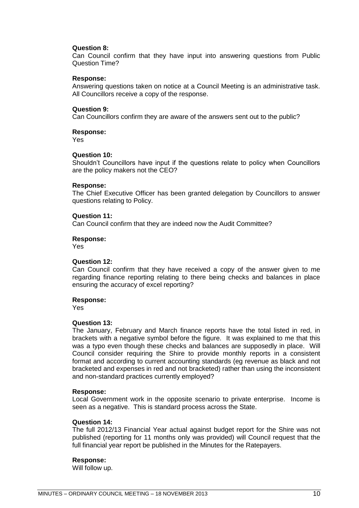#### **Question 8:**

Can Council confirm that they have input into answering questions from Public Question Time?

#### **Response:**

Answering questions taken on notice at a Council Meeting is an administrative task. All Councillors receive a copy of the response.

#### **Question 9:**

Can Councillors confirm they are aware of the answers sent out to the public?

#### **Response:**

Yes

#### **Question 10:**

Shouldn"t Councillors have input if the questions relate to policy when Councillors are the policy makers not the CEO?

#### **Response:**

The Chief Executive Officer has been granted delegation by Councillors to answer questions relating to Policy.

#### **Question 11:**

Can Council confirm that they are indeed now the Audit Committee?

#### **Response:**

Yes

#### **Question 12:**

Can Council confirm that they have received a copy of the answer given to me regarding finance reporting relating to there being checks and balances in place ensuring the accuracy of excel reporting?

#### **Response:**

Yes

#### **Question 13:**

The January, February and March finance reports have the total listed in red, in brackets with a negative symbol before the figure. It was explained to me that this was a typo even though these checks and balances are supposedly in place. Will Council consider requiring the Shire to provide monthly reports in a consistent format and according to current accounting standards (eg revenue as black and not bracketed and expenses in red and not bracketed) rather than using the inconsistent and non-standard practices currently employed?

#### **Response:**

Local Government work in the opposite scenario to private enterprise. Income is seen as a negative. This is standard process across the State.

#### **Question 14:**

The full 2012/13 Financial Year actual against budget report for the Shire was not published (reporting for 11 months only was provided) will Council request that the full financial year report be published in the Minutes for the Ratepayers.

#### **Response:**

Will follow up.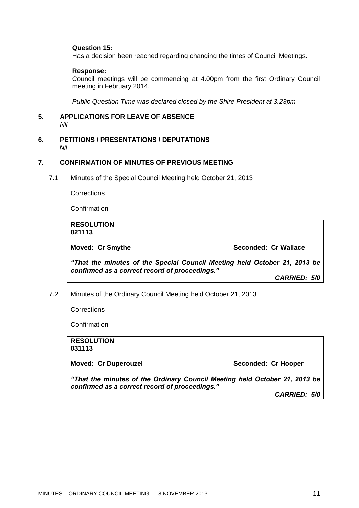#### **Question 15:**

Has a decision been reached regarding changing the times of Council Meetings.

#### **Response:**

Council meetings will be commencing at 4.00pm from the first Ordinary Council meeting in February 2014.

*Public Question Time was declared closed by the Shire President at 3.23pm*

#### <span id="page-10-0"></span>**5. APPLICATIONS FOR LEAVE OF ABSENCE**  *Nil*

<span id="page-10-1"></span>**6. PETITIONS / PRESENTATIONS / DEPUTATIONS** *Nil*

#### <span id="page-10-2"></span>**7. CONFIRMATION OF MINUTES OF PREVIOUS MEETING**

<span id="page-10-3"></span>7.1 Minutes of the Special Council Meeting held October 21, 2013

**Corrections** 

**Confirmation** 

**RESOLUTION 021113 Moved: Cr Smythe Seconded: Cr Wallace** *―That the minutes of the Special Council Meeting held October 21, 2013 be confirmed as a correct record of proceedings.‖ CARRIED: 5/0*

<span id="page-10-4"></span>7.2 Minutes of the Ordinary Council Meeting held October 21, 2013

**Corrections** 

**Confirmation** 

<span id="page-10-5"></span>**RESOLUTION 031113 Moved: Cr Duperouzel Seconded: Cr Hooper** *―That the minutes of the Ordinary Council Meeting held October 21, 2013 be confirmed as a correct record of proceedings.‖ CARRIED: 5/0*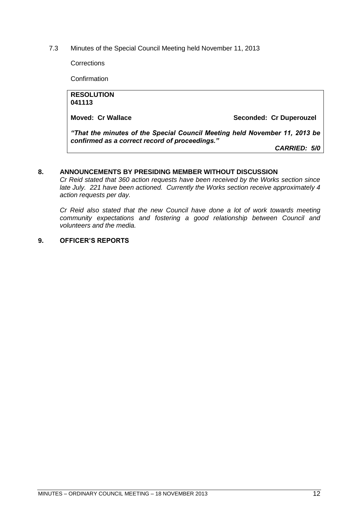7.3 Minutes of the Special Council Meeting held November 11, 2013

**Corrections** 

**Confirmation** 

| <b>RESOLUTION</b>                                                          |                         |  |
|----------------------------------------------------------------------------|-------------------------|--|
| 041113                                                                     |                         |  |
|                                                                            |                         |  |
| Moved: Cr Wallace                                                          | Seconded: Cr Duperouzel |  |
|                                                                            |                         |  |
| "That the minutes of the Special Council Meeting held November 11, 2013 be |                         |  |
| confirmed as a correct record of proceedings."                             |                         |  |
|                                                                            | CARRIED: 5/0            |  |
|                                                                            |                         |  |

#### <span id="page-11-0"></span>**8. ANNOUNCEMENTS BY PRESIDING MEMBER WITHOUT DISCUSSION**

*Cr Reid stated that 360 action requests have been received by the Works section since late July. 221 have been actioned. Currently the Works section receive approximately 4 action requests per day.*

*Cr Reid also stated that the new Council have done a lot of work towards meeting community expectations and fostering a good relationship between Council and volunteers and the media.*

#### <span id="page-11-1"></span>**9. OFFICER'S REPORTS**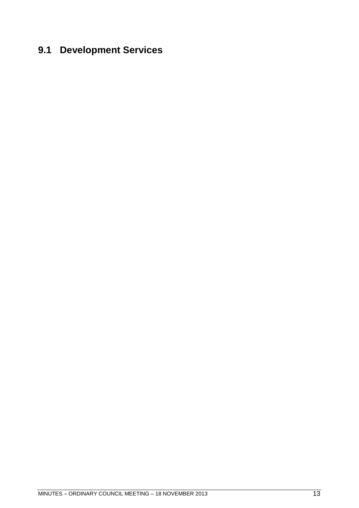# <span id="page-12-0"></span>**9.1 Development Services**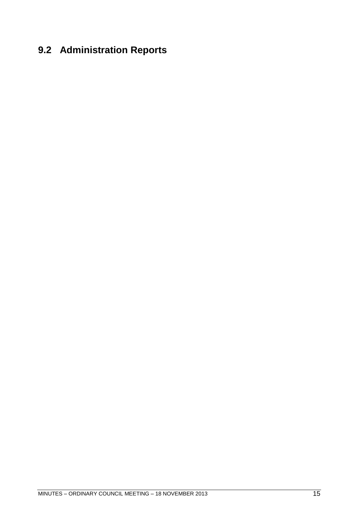# <span id="page-14-0"></span>**9.2 Administration Reports**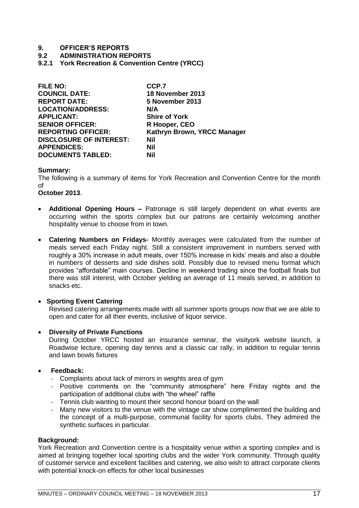#### **9.2 ADMINISTRATION REPORTS**

<span id="page-16-0"></span>**9.2.1 York Recreation & Convention Centre (YRCC)** 

| <b>FILE NO:</b>                | CCP.7                       |
|--------------------------------|-----------------------------|
| <b>COUNCIL DATE:</b>           | 18 November 2013            |
| <b>REPORT DATE:</b>            | 5 November 2013             |
| <b>LOCATION/ADDRESS:</b>       | N/A                         |
| <b>APPLICANT:</b>              | <b>Shire of York</b>        |
| <b>SENIOR OFFICER:</b>         | R Hooper, CEO               |
| <b>REPORTING OFFICER:</b>      | Kathryn Brown, YRCC Manager |
| <b>DISCLOSURE OF INTEREST:</b> | <b>Nil</b>                  |
| <b>APPENDICES:</b>             | Nil                         |
| <b>DOCUMENTS TABLED:</b>       | Nil                         |

#### **Summary:**

The following is a summary of items for York Recreation and Convention Centre for the month of

#### **October 2013**.

- **Additional Opening Hours –** Patronage is still largely dependent on what events are occurring within the sports complex but our patrons are certainly welcoming another hospitality venue to choose from in town.
- **Catering Numbers on Fridays-** Monthly averages were calculated from the number of meals served each Friday night. Still a consistent improvement in numbers served with roughly a 30% increase in adult meals, over 150% increase in kids" meals and also a double in numbers of desserts and side dishes sold. Possibly due to revised menu format which provides "affordable" main courses. Decline in weekend trading since the football finals but there was still interest, with October yielding an average of 11 meals served, in addition to snacks etc.

#### **• Sporting Event Catering**

Revised catering arrangements made with all summer sports groups now that we are able to open and cater for all their events, inclusive of liquor service.

#### **Diversity of Private Functions**

During October YRCC hosted an insurance seminar, the visityork website launch, a Roadwise lecture, opening day tennis and a classic car rally, in addition to regular tennis and lawn bowls fixtures

#### **Feedback:**

- Complaints about lack of mirrors in weights area of gym
- Positive comments on the "community atmosphere" here Friday nights and the participation of additional clubs with "the wheel" raffle
- Tennis club wanting to mount their second honour board on the wall
- Many new visitors to the venue with the vintage car show complimented the building and the concept of a multi-purpose, communal facility for sports clubs. They admired the synthetic surfaces in particular.

#### **Background:**

York Recreation and Convention centre is a hospitality venue within a sporting complex and is aimed at bringing together local sporting clubs and the wider York community. Through quality of customer service and excellent facilities and catering, we also wish to attract corporate clients with potential knock-on effects for other local businesses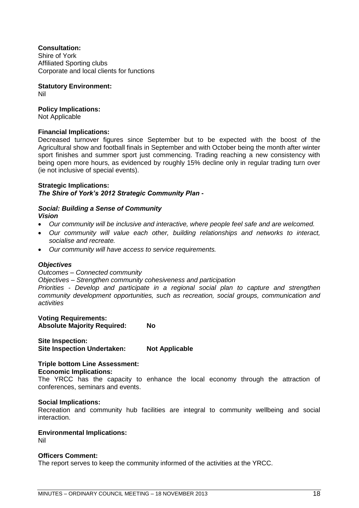#### **Consultation:**

Shire of York Affiliated Sporting clubs Corporate and local clients for functions

**Statutory Environment:**

Nil

#### **Policy Implications:**

Not Applicable

#### **Financial Implications:**

Decreased turnover figures since September but to be expected with the boost of the Agricultural show and football finals in September and with October being the month after winter sport finishes and summer sport just commencing. Trading reaching a new consistency with being open more hours, as evidenced by roughly 15% decline only in regular trading turn over (ie not inclusive of special events).

#### **Strategic Implications:**

*The Shire of York's 2012 Strategic Community Plan -*

#### *Social: Building a Sense of Community Vision*

- *Our community will be inclusive and interactive, where people feel safe and are welcomed.*
- *Our community will value each other, building relationships and networks to interact, socialise and recreate.*
- *Our community will have access to service requirements.*

#### *Objectives*

*Outcomes – Connected community* 

*Objectives – Strengthen community cohesiveness and participation* 

*Priorities - Develop and participate in a regional social plan to capture and strengthen community development opportunities, such as recreation, social groups, communication and activities* 

**Voting Requirements: Absolute Majority Required: No** 

**Site Inspection: Site Inspection Undertaken: Not Applicable** 

#### **Triple bottom Line Assessment: Economic Implications:**

The YRCC has the capacity to enhance the local economy through the attraction of conferences, seminars and events.

#### **Social Implications:**

Recreation and community hub facilities are integral to community wellbeing and social interaction.

#### **Environmental Implications:**

Nil

#### **Officers Comment:**

The report serves to keep the community informed of the activities at the YRCC.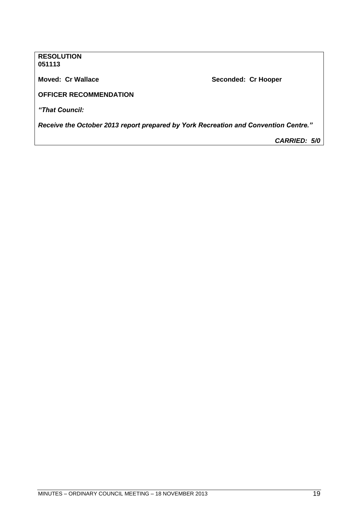**RESOLUTION 051113**

**Moved: Cr Wallace Moved: Cr Wallace Seconded: Cr Hooper** 

**OFFICER RECOMMENDATION** 

*―That Council:*

*Receive the October 2013 report prepared by York Recreation and Convention Centre.‖*

*CARRIED: 5/0*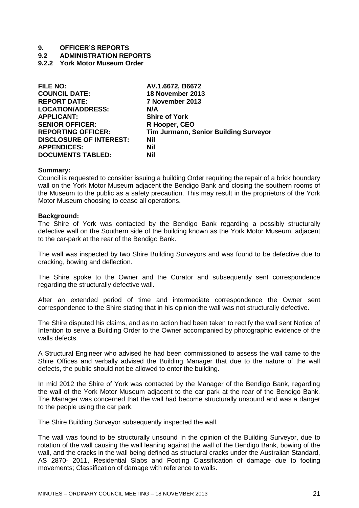**9.2 ADMINISTRATION REPORTS**

<span id="page-20-0"></span>**9.2.2 York Motor Museum Order**

| AV.1.6672, B6672                      |
|---------------------------------------|
| 18 November 2013                      |
| 7 November 2013                       |
| N/A                                   |
| <b>Shire of York</b>                  |
| R Hooper, CEO                         |
| Tim Jurmann, Senior Building Surveyor |
| Nil                                   |
| Nil                                   |
| Nil                                   |
|                                       |

#### **Summary:**

Council is requested to consider issuing a building Order requiring the repair of a brick boundary wall on the York Motor Museum adjacent the Bendigo Bank and closing the southern rooms of the Museum to the public as a safety precaution. This may result in the proprietors of the York Motor Museum choosing to cease all operations.

#### **Background:**

The Shire of York was contacted by the Bendigo Bank regarding a possibly structurally defective wall on the Southern side of the building known as the York Motor Museum, adjacent to the car-park at the rear of the Bendigo Bank.

The wall was inspected by two Shire Building Surveyors and was found to be defective due to cracking, bowing and deflection.

The Shire spoke to the Owner and the Curator and subsequently sent correspondence regarding the structurally defective wall.

After an extended period of time and intermediate correspondence the Owner sent correspondence to the Shire stating that in his opinion the wall was not structurally defective.

The Shire disputed his claims, and as no action had been taken to rectify the wall sent Notice of Intention to serve a Building Order to the Owner accompanied by photographic evidence of the walls defects.

A Structural Engineer who advised he had been commissioned to assess the wall came to the Shire Offices and verbally advised the Building Manager that due to the nature of the wall defects, the public should not be allowed to enter the building.

In mid 2012 the Shire of York was contacted by the Manager of the Bendigo Bank, regarding the wall of the York Motor Museum adjacent to the car park at the rear of the Bendigo Bank. The Manager was concerned that the wall had become structurally unsound and was a danger to the people using the car park.

The Shire Building Surveyor subsequently inspected the wall.

The wall was found to be structurally unsound In the opinion of the Building Surveyor, due to rotation of the wall causing the wall leaning against the wall of the Bendigo Bank, bowing of the wall, and the cracks in the wall being defined as structural cracks under the Australian Standard, AS 2870- 2011, Residential Slabs and Footing Classification of damage due to footing movements; Classification of damage with reference to walls.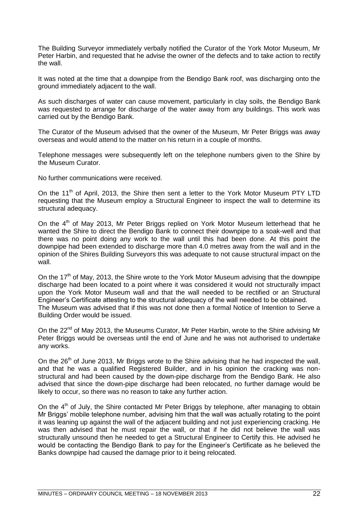The Building Surveyor immediately verbally notified the Curator of the York Motor Museum, Mr Peter Harbin, and requested that he advise the owner of the defects and to take action to rectify the wall.

It was noted at the time that a downpipe from the Bendigo Bank roof, was discharging onto the ground immediately adjacent to the wall.

As such discharges of water can cause movement, particularly in clay soils, the Bendigo Bank was requested to arrange for discharge of the water away from any buildings. This work was carried out by the Bendigo Bank.

The Curator of the Museum advised that the owner of the Museum, Mr Peter Briggs was away overseas and would attend to the matter on his return in a couple of months.

Telephone messages were subsequently left on the telephone numbers given to the Shire by the Museum Curator.

No further communications were received.

On the 11<sup>th</sup> of April, 2013, the Shire then sent a letter to the York Motor Museum PTY LTD requesting that the Museum employ a Structural Engineer to inspect the wall to determine its structural adequacy.

On the  $4<sup>th</sup>$  of May 2013, Mr Peter Briggs replied on York Motor Museum letterhead that he wanted the Shire to direct the Bendigo Bank to connect their downpipe to a soak-well and that there was no point doing any work to the wall until this had been done. At this point the downpipe had been extended to discharge more than 4.0 metres away from the wall and in the opinion of the Shires Building Surveyors this was adequate to not cause structural impact on the wall.

On the  $17<sup>th</sup>$  of May, 2013, the Shire wrote to the York Motor Museum advising that the downpipe discharge had been located to a point where it was considered it would not structurally impact upon the York Motor Museum wall and that the wall needed to be rectified or an Structural Engineer"s Certificate attesting to the structural adequacy of the wall needed to be obtained. The Museum was advised that if this was not done then a formal Notice of Intention to Serve a Building Order would be issued.

On the  $22^{nd}$  of May 2013, the Museums Curator, Mr Peter Harbin, wrote to the Shire advising Mr Peter Briggs would be overseas until the end of June and he was not authorised to undertake any works.

On the 26<sup>th</sup> of June 2013, Mr Briggs wrote to the Shire advising that he had inspected the wall, and that he was a qualified Registered Builder, and in his opinion the cracking was nonstructural and had been caused by the down-pipe discharge from the Bendigo Bank. He also advised that since the down-pipe discharge had been relocated, no further damage would be likely to occur, so there was no reason to take any further action.

On the  $4<sup>th</sup>$  of July, the Shire contacted Mr Peter Briggs by telephone, after managing to obtain Mr Briggs" mobile telephone number, advising him that the wall was actually rotating to the point it was leaning up against the wall of the adjacent building and not just experiencing cracking. He was then advised that he must repair the wall, or that if he did not believe the wall was structurally unsound then he needed to get a Structural Engineer to Certify this. He advised he would be contacting the Bendigo Bank to pay for the Engineer"s Certificate as he believed the Banks downpipe had caused the damage prior to it being relocated.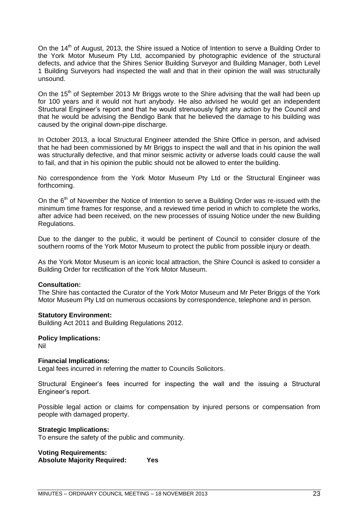On the 14<sup>th</sup> of August, 2013, the Shire issued a Notice of Intention to serve a Building Order to the York Motor Museum Pty Ltd, accompanied by photographic evidence of the structural defects, and advice that the Shires Senior Building Surveyor and Building Manager, both Level 1 Building Surveyors had inspected the wall and that in their opinion the wall was structurally unsound.

On the  $15<sup>th</sup>$  of September 2013 Mr Briggs wrote to the Shire advising that the wall had been up for 100 years and it would not hurt anybody. He also advised he would get an independent Structural Engineer"s report and that he would strenuously fight any action by the Council and that he would be advising the Bendigo Bank that he believed the damage to his building was caused by the original down-pipe discharge.

In October 2013, a local Structural Engineer attended the Shire Office in person, and advised that he had been commissioned by Mr Briggs to inspect the wall and that in his opinion the wall was structurally defective, and that minor seismic activity or adverse loads could cause the wall to fail, and that in his opinion the public should not be allowed to enter the building.

No correspondence from the York Motor Museum Pty Ltd or the Structural Engineer was forthcoming.

On the  $6<sup>th</sup>$  of November the Notice of Intention to serve a Building Order was re-issued with the minimum time frames for response, and a reviewed time period in which to complete the works, after advice had been received, on the new processes of issuing Notice under the new Building Regulations.

Due to the danger to the public, it would be pertinent of Council to consider closure of the southern rooms of the York Motor Museum to protect the public from possible injury or death.

As the York Motor Museum is an iconic local attraction, the Shire Council is asked to consider a Building Order for rectification of the York Motor Museum.

#### **Consultation:**

The Shire has contacted the Curator of the York Motor Museum and Mr Peter Briggs of the York Motor Museum Pty Ltd on numerous occasions by correspondence, telephone and in person.

#### **Statutory Environment:**

Building Act 2011 and Building Regulations 2012.

#### **Policy Implications:**

Nil

#### **Financial Implications:**

Legal fees incurred in referring the matter to Councils Solicitors.

Structural Engineer"s fees incurred for inspecting the wall and the issuing a Structural Engineer"s report.

Possible legal action or claims for compensation by injured persons or compensation from people with damaged property.

#### **Strategic Implications:**

To ensure the safety of the public and community.

**Voting Requirements: Absolute Majority Required: Yes**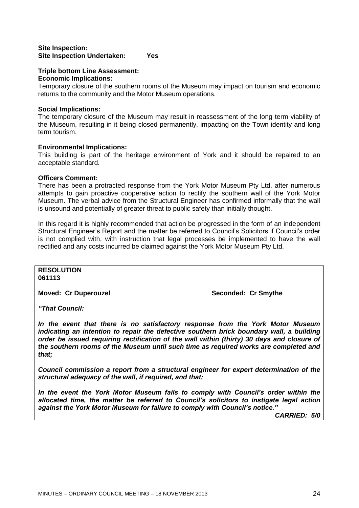#### **Site Inspection: Site Inspection Undertaken: Yes**

#### **Triple bottom Line Assessment: Economic Implications:**

Temporary closure of the southern rooms of the Museum may impact on tourism and economic returns to the community and the Motor Museum operations.

#### **Social Implications:**

The temporary closure of the Museum may result in reassessment of the long term viability of the Museum, resulting in it being closed permanently, impacting on the Town identity and long term tourism.

#### **Environmental Implications:**

This building is part of the heritage environment of York and it should be repaired to an acceptable standard.

#### **Officers Comment:**

There has been a protracted response from the York Motor Museum Pty Ltd, after numerous attempts to gain proactive cooperative action to rectify the southern wall of the York Motor Museum. The verbal advice from the Structural Engineer has confirmed informally that the wall is unsound and potentially of greater threat to public safety than initially thought.

In this regard it is highly recommended that action be progressed in the form of an independent Structural Engineer"s Report and the matter be referred to Council"s Solicitors if Council"s order is not complied with, with instruction that legal processes be implemented to have the wall rectified and any costs incurred be claimed against the York Motor Museum Pty Ltd.

#### **RESOLUTION 061113**

**Moved: Cr Duperouzel Seconded: Cr Smythe Seconded: Cr Smythe** 

*―That Council:*

*In the event that there is no satisfactory response from the York Motor Museum indicating an intention to repair the defective southern brick boundary wall, a building order be issued requiring rectification of the wall within (thirty) 30 days and closure of the southern rooms of the Museum until such time as required works are completed and that;*

*Council commission a report from a structural engineer for expert determination of the structural adequacy of the wall, if required, and that;*

*In the event the York Motor Museum fails to comply with Council's order within the allocated time, the matter be referred to Council's solicitors to instigate legal action against the York Motor Museum for failure to comply with Council's notice.‖*

*CARRIED: 5/0*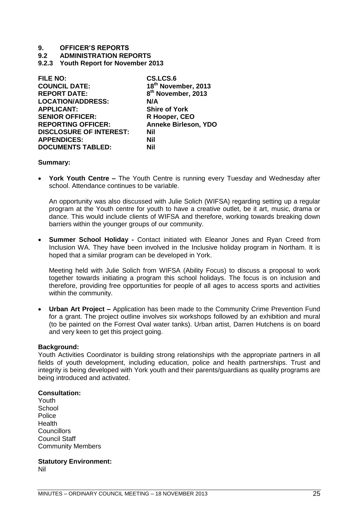**9.2 ADMINISTRATION REPORTS**

<span id="page-24-0"></span>**9.2.3 Youth Report for November 2013**

| CS.LCS.6                       |
|--------------------------------|
| 18th November, 2013            |
| 8 <sup>th</sup> November, 2013 |
| N/A                            |
| <b>Shire of York</b>           |
| R Hooper, CEO                  |
| <b>Anneke Birleson, YDO</b>    |
| Nil                            |
| Nil                            |
| Nil                            |
|                                |

#### **Summary:**

 **York Youth Centre –** The Youth Centre is running every Tuesday and Wednesday after school. Attendance continues to be variable.

An opportunity was also discussed with Julie Solich (WIFSA) regarding setting up a regular program at the Youth centre for youth to have a creative outlet, be it art, music, drama or dance. This would include clients of WIFSA and therefore, working towards breaking down barriers within the younger groups of our community.

 **Summer School Holiday -** Contact initiated with Eleanor Jones and Ryan Creed from Inclusion WA. They have been involved in the Inclusive holiday program in Northam. It is hoped that a similar program can be developed in York.

Meeting held with Julie Solich from WIFSA (Ability Focus) to discuss a proposal to work together towards initiating a program this school holidays. The focus is on inclusion and therefore, providing free opportunities for people of all ages to access sports and activities within the community.

 **Urban Art Project –** Application has been made to the Community Crime Prevention Fund for a grant. The project outline involves six workshops followed by an exhibition and mural (to be painted on the Forrest Oval water tanks). Urban artist, Darren Hutchens is on board and very keen to get this project going.

#### **Background:**

Youth Activities Coordinator is building strong relationships with the appropriate partners in all fields of youth development, including education, police and health partnerships. Trust and integrity is being developed with York youth and their parents/guardians as quality programs are being introduced and activated.

#### **Consultation:**

Youth **School Police Health** Councillors Council Staff Community Members

**Statutory Environment:** Nil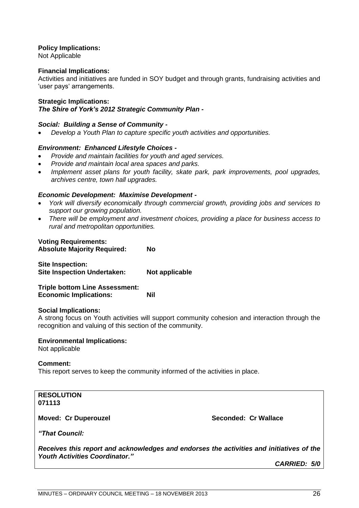#### **Policy Implications:**

Not Applicable

#### **Financial Implications:**

Activities and initiatives are funded in SOY budget and through grants, fundraising activities and 'user pays' arrangements.

#### **Strategic Implications:**

#### *The Shire of York's 2012 Strategic Community Plan -*

#### *Social: Building a Sense of Community -*

*Develop a Youth Plan to capture specific youth activities and opportunities.*

#### *Environment: Enhanced Lifestyle Choices -*

- *Provide and maintain facilities for youth and aged services.*
- *Provide and maintain local area spaces and parks.*
- *Implement asset plans for youth facility, skate park, park improvements, pool upgrades, archives centre, town hall upgrades.*

#### *Economic Development: Maximise Development -*

- *York will diversify economically through commercial growth, providing jobs and services to support our growing population.*
- *There will be employment and investment choices, providing a place for business access to rural and metropolitan opportunities.*

#### **Voting Requirements:**

| <b>Absolute Majority Required:</b> | Nο             |  |
|------------------------------------|----------------|--|
| <b>Site Inspection:</b>            |                |  |
| <b>Site Inspection Undertaken:</b> | Not applicable |  |

**Triple bottom Line Assessment: Economic Implications: Nil**

#### **Social Implications:**

A strong focus on Youth activities will support community cohesion and interaction through the recognition and valuing of this section of the community.

#### **Environmental Implications:**

Not applicable

#### **Comment:**

This report serves to keep the community informed of the activities in place.

**RESOLUTION 071113**

**Moved: Cr Duperouzel Seconded: Cr Wallace Seconded: Cr Wallace** 

*―That Council:*

*Receives this report and acknowledges and endorses the activities and initiatives of the Youth Activities Coordinator.‖*

*CARRIED: 5/0*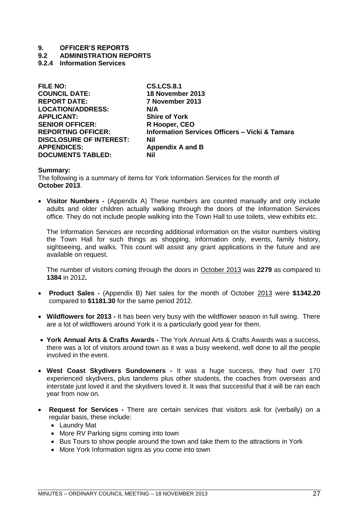**9.2 ADMINISTRATION REPORTS**

#### <span id="page-26-0"></span>**9.2.4 Information Services**

| <b>FILE NO:</b>                | <b>CS.LCS.8.1</b>                                         |
|--------------------------------|-----------------------------------------------------------|
| <b>COUNCIL DATE:</b>           | 18 November 2013                                          |
| <b>REPORT DATE:</b>            | 7 November 2013                                           |
| <b>LOCATION/ADDRESS:</b>       | N/A                                                       |
| <b>APPLICANT:</b>              | <b>Shire of York</b>                                      |
| <b>SENIOR OFFICER:</b>         | R Hooper, CEO                                             |
| <b>REPORTING OFFICER:</b>      | <b>Information Services Officers - Vicki &amp; Tamara</b> |
| <b>DISCLOSURE OF INTEREST:</b> | <b>Nil</b>                                                |
| <b>APPENDICES:</b>             | <b>Appendix A and B</b>                                   |
| <b>DOCUMENTS TABLED:</b>       | Nil                                                       |
|                                |                                                           |

#### **Summary:**

The following is a summary of items for York Information Services for the month of **October 2013**.

 **Visitor Numbers -** (Appendix A) These numbers are counted manually and only include adults and older children actually walking through the doors of the Information Services office. They do not include people walking into the Town Hall to use toilets, view exhibits etc.

The Information Services are recording additional information on the visitor numbers visiting the Town Hall for such things as shopping, information only, events, family history, sightseeing, and walks. This count will assist any grant applications in the future and are available on request.

The number of visitors coming through the doors in October 2013 was **2279** as compared to **1384** in 2012**.** 

- **Product Sales -** (Appendix B) Net sales for the month of October 2013 were **\$1342.20**  compared to **\$1181.30** for the same period 2012.
- **Wildflowers for 2013 -** It has been very busy with the wildflower season in full swing. There are a lot of wildflowers around York it is a particularly good year for them.
- **York Annual Arts & Crafts Awards -** The York Annual Arts & Crafts Awards was a success, there was a lot of visitors around town as it was a busy weekend, well done to all the people involved in the event.
- **West Coast Skydivers Sundowners -** It was a huge success, they had over 170 experienced skydivers, plus tandems plus other students, the coaches from overseas and interstate just loved it and the skydivers loved it. It was that successful that it will be ran each year from now on.
- **Request for Services -** There are certain services that visitors ask for (verbally) on a regular basis, these include:
	- Laundry Mat
	- More RV Parking signs coming into town
	- Bus Tours to show people around the town and take them to the attractions in York
	- More York Information signs as you come into town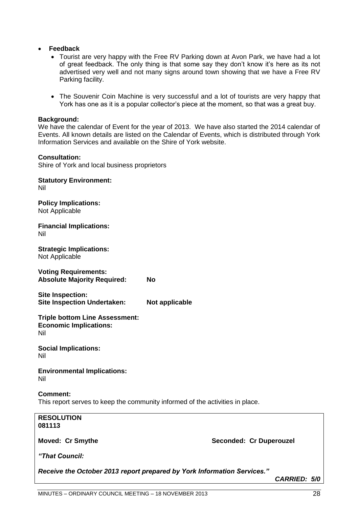#### **Feedback**

- Tourist are very happy with the Free RV Parking down at Avon Park, we have had a lot of great feedback. The only thing is that some say they don"t know it"s here as its not advertised very well and not many signs around town showing that we have a Free RV Parking facility.
- The Souvenir Coin Machine is very successful and a lot of tourists are very happy that York has one as it is a popular collector's piece at the moment, so that was a great buy.

#### **Background:**

We have the calendar of Event for the year of 2013. We have also started the 2014 calendar of Events. All known details are listed on the Calendar of Events, which is distributed through York Information Services and available on the Shire of York website.

#### **Consultation:**

Shire of York and local business proprietors

**Statutory Environment:** Nil **Policy Implications:** Not Applicable **Financial Implications:** Nil **Strategic Implications:** Not Applicable **Voting Requirements: Absolute Majority Required: No Site Inspection: Site Inspection Undertaken: Not applicable Triple bottom Line Assessment: Economic Implications:** Nil **Social Implications:** Nil **Environmental Implications:** Nil **Comment:** This report serves to keep the community informed of the activities in place. **RESOLUTION 081113**

**Moved: Cr Smythe**  Seconded: Cr Duperouzel

*―That Council:*

*Receive the October 2013 report prepared by York Information Services.‖*

*CARRIED: 5/0*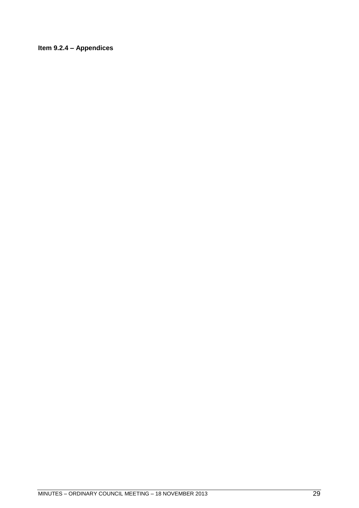### <span id="page-28-0"></span>**Item 9.2.4 – Appendices**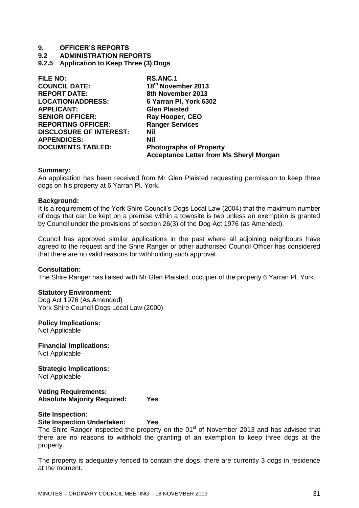**9.2 ADMINISTRATION REPORTS**

<span id="page-30-0"></span>**9.2.5 Application to Keep Three (3) Dogs**

| <b>FILE NO:</b>                | RS.ANC.1                                       |
|--------------------------------|------------------------------------------------|
| <b>COUNCIL DATE:</b>           | 18 <sup>th</sup> November 2013                 |
| <b>REPORT DATE:</b>            | 8th November 2013                              |
| <b>LOCATION/ADDRESS:</b>       | 6 Yarran PI, York 6302                         |
| <b>APPLICANT:</b>              | <b>Glen Plaisted</b>                           |
| <b>SENIOR OFFICER:</b>         | Ray Hooper, CEO                                |
| <b>REPORTING OFFICER:</b>      | <b>Ranger Services</b>                         |
| <b>DISCLOSURE OF INTEREST:</b> | Nil                                            |
| <b>APPENDICES:</b>             | Nil                                            |
| <b>DOCUMENTS TABLED:</b>       | <b>Photographs of Property</b>                 |
|                                | <b>Acceptance Letter from Ms Sheryl Morgan</b> |

#### **Summary:**

An application has been received from Mr Glen Plaisted requesting permission to keep three dogs on his property at 6 Yarran Pl. York.

#### **Background:**

It is a requirement of the York Shire Council"s Dogs Local Law (2004) that the maximum number of dogs that can be kept on a premise within a townsite is two unless an exemption is granted by Council under the provisions of section 26(3) of the Dog Act 1976 (as Amended).

Council has approved similar applications in the past where all adjoining neighbours have agreed to the request and the Shire Ranger or other authorised Council Officer has considered that there are no valid reasons for withholding such approval.

#### **Consultation:**

The Shire Ranger has liaised with Mr Glen Plaisted, occupier of the property 6 Yarran Pl. York.

#### **Statutory Environment:**

Dog Act 1976 (As Amended) York Shire Council Dogs Local Law (2000)

#### **Policy Implications:**

Not Applicable

**Financial Implications:** Not Applicable

**Strategic Implications:** Not Applicable

**Voting Requirements: Absolute Majority Required: Yes**

#### **Site Inspection:**

**Site Inspection Undertaken: Yes**

The Shire Ranger inspected the property on the 01<sup>st</sup> of November 2013 and has advised that there are no reasons to withhold the granting of an exemption to keep three dogs at the property.

The property is adequately fenced to contain the dogs, there are currently 3 dogs in residence at the moment.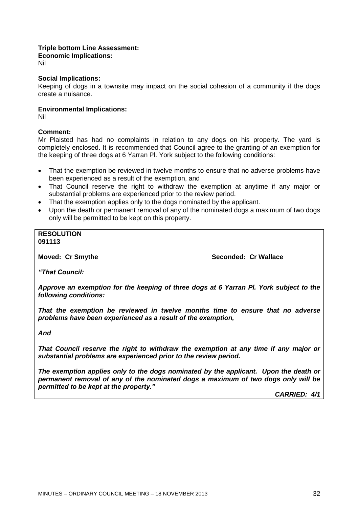#### **Triple bottom Line Assessment:**

**Economic Implications:**

Nil

#### **Social Implications:**

Keeping of dogs in a townsite may impact on the social cohesion of a community if the dogs create a nuisance.

#### **Environmental Implications:**

Nil

#### **Comment:**

Mr Plaisted has had no complaints in relation to any dogs on his property. The yard is completely enclosed. It is recommended that Council agree to the granting of an exemption for the keeping of three dogs at 6 Yarran Pl. York subject to the following conditions:

- That the exemption be reviewed in twelve months to ensure that no adverse problems have been experienced as a result of the exemption, and
- That Council reserve the right to withdraw the exemption at anytime if any major or substantial problems are experienced prior to the review period.
- That the exemption applies only to the dogs nominated by the applicant.
- Upon the death or permanent removal of any of the nominated dogs a maximum of two dogs only will be permitted to be kept on this property.

#### **RESOLUTION 091113**

**Moved: Cr Smythe**  Seconded: Cr Wallace

*―That Council:*

*Approve an exemption for the keeping of three dogs at 6 Yarran Pl. York subject to the following conditions:*

*That the exemption be reviewed in twelve months time to ensure that no adverse problems have been experienced as a result of the exemption,* 

*And*

*That Council reserve the right to withdraw the exemption at any time if any major or substantial problems are experienced prior to the review period.*

*The exemption applies only to the dogs nominated by the applicant. Upon the death or permanent removal of any of the nominated dogs a maximum of two dogs only will be permitted to be kept at the property.‖*

*CARRIED: 4/1*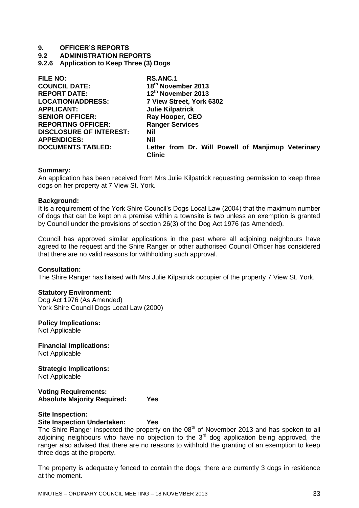**9.2 ADMINISTRATION REPORTS**

<span id="page-32-0"></span>**9.2.6 Application to Keep Three (3) Dogs**

| <b>FILE NO:</b>                | <b>RS.ANC.1</b>                                                     |
|--------------------------------|---------------------------------------------------------------------|
| <b>COUNCIL DATE:</b>           | 18 <sup>th</sup> November 2013                                      |
| <b>REPORT DATE:</b>            | 12th November 2013                                                  |
| <b>LOCATION/ADDRESS:</b>       | 7 View Street, York 6302                                            |
| <b>APPLICANT:</b>              | <b>Julie Kilpatrick</b>                                             |
| <b>SENIOR OFFICER:</b>         | Ray Hooper, CEO                                                     |
| <b>REPORTING OFFICER:</b>      | <b>Ranger Services</b>                                              |
| <b>DISCLOSURE OF INTEREST:</b> | <b>Nil</b>                                                          |
| <b>APPENDICES:</b>             | <b>Nil</b>                                                          |
| <b>DOCUMENTS TABLED:</b>       | Letter from Dr. Will Powell of Manjimup Veterinary<br><b>Clinic</b> |

#### **Summary:**

An application has been received from Mrs Julie Kilpatrick requesting permission to keep three dogs on her property at 7 View St. York.

#### **Background:**

It is a requirement of the York Shire Council"s Dogs Local Law (2004) that the maximum number of dogs that can be kept on a premise within a townsite is two unless an exemption is granted by Council under the provisions of section 26(3) of the Dog Act 1976 (as Amended).

Council has approved similar applications in the past where all adjoining neighbours have agreed to the request and the Shire Ranger or other authorised Council Officer has considered that there are no valid reasons for withholding such approval.

#### **Consultation:**

The Shire Ranger has liaised with Mrs Julie Kilpatrick occupier of the property 7 View St. York.

#### **Statutory Environment:**

Dog Act 1976 (As Amended) York Shire Council Dogs Local Law (2000)

#### **Policy Implications:**

Not Applicable

**Financial Implications:** Not Applicable

**Strategic Implications:** Not Applicable

**Voting Requirements: Absolute Majority Required: Yes**

#### **Site Inspection:**

**Site Inspection Undertaken: Yes**

The Shire Ranger inspected the property on the 08<sup>th</sup> of November 2013 and has spoken to all adjoining neighbours who have no objection to the  $3<sup>rd</sup>$  dog application being approved, the ranger also advised that there are no reasons to withhold the granting of an exemption to keep three dogs at the property.

The property is adequately fenced to contain the dogs; there are currently 3 dogs in residence at the moment.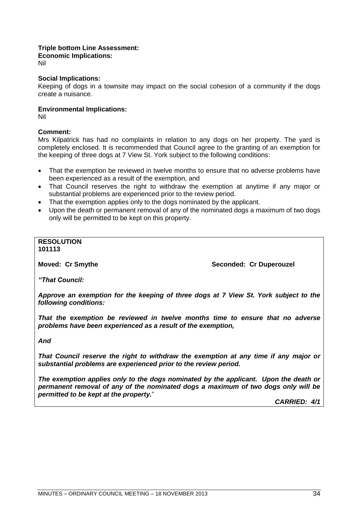#### **Triple bottom Line Assessment:**

**Economic Implications:**

Nil

#### **Social Implications:**

Keeping of dogs in a townsite may impact on the social cohesion of a community if the dogs create a nuisance.

#### **Environmental Implications:**

Nil

#### **Comment:**

Mrs Kilpatrick has had no complaints in relation to any dogs on her property. The yard is completely enclosed. It is recommended that Council agree to the granting of an exemption for the keeping of three dogs at 7 View St. York subject to the following conditions:

- That the exemption be reviewed in twelve months to ensure that no adverse problems have been experienced as a result of the exemption, and
- That Council reserves the right to withdraw the exemption at anytime if any major or substantial problems are experienced prior to the review period.
- That the exemption applies only to the dogs nominated by the applicant.
- Upon the death or permanent removal of any of the nominated dogs a maximum of two dogs only will be permitted to be kept on this property.

### **RESOLUTION**

**101113**

**Moved: Cr Smythe Seconded: Cr Duperouzel** 

*―That Council:*

*Approve an exemption for the keeping of three dogs at 7 View St. York subject to the following conditions:*

*That the exemption be reviewed in twelve months time to ensure that no adverse problems have been experienced as a result of the exemption,* 

*And*

*That Council reserve the right to withdraw the exemption at any time if any major or substantial problems are experienced prior to the review period.*

*The exemption applies only to the dogs nominated by the applicant. Upon the death or permanent removal of any of the nominated dogs a maximum of two dogs only will be permitted to be kept at the property.*"

*CARRIED: 4/1*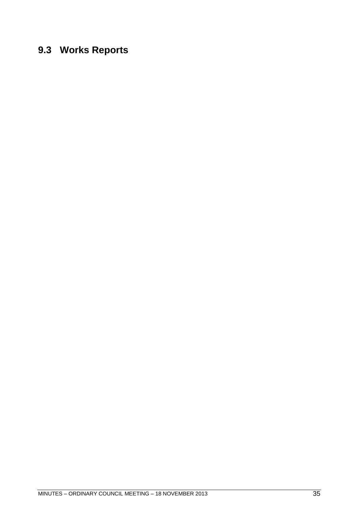## <span id="page-34-0"></span>**9.3 Works Reports**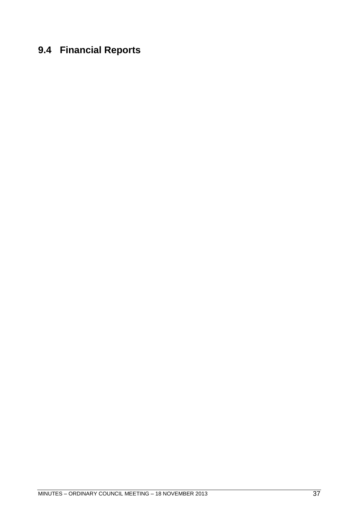# <span id="page-36-0"></span>**9.4 Financial Reports**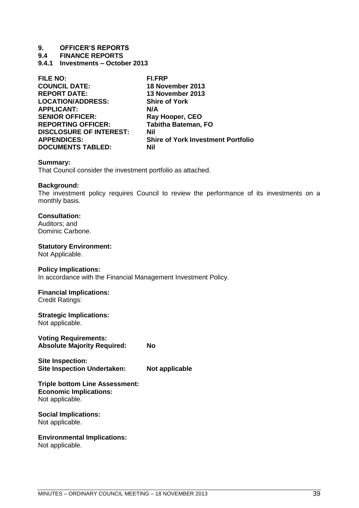**9.4 FINANCE REPORTS**

<span id="page-38-0"></span>**9.4.1 Investments – October 2013**

| <b>FILE NO:</b>                | FI.FRP                                    |
|--------------------------------|-------------------------------------------|
| <b>COUNCIL DATE:</b>           | 18 November 2013                          |
| <b>REPORT DATE:</b>            | 13 November 2013                          |
| <b>LOCATION/ADDRESS:</b>       | <b>Shire of York</b>                      |
| <b>APPLICANT:</b>              | N/A                                       |
| <b>SENIOR OFFICER:</b>         | Ray Hooper, CEO                           |
| <b>REPORTING OFFICER:</b>      | <b>Tabitha Bateman, FO</b>                |
| <b>DISCLOSURE OF INTEREST:</b> | Nil                                       |
| <b>APPENDICES:</b>             | <b>Shire of York Investment Portfolio</b> |
| <b>DOCUMENTS TABLED:</b>       | Nil                                       |

#### **Summary:**

That Council consider the investment portfolio as attached.

#### **Background:**

The investment policy requires Council to review the performance of its investments on a monthly basis.

#### **Consultation:**

Auditors; and Dominic Carbone.

#### **Statutory Environment:**

Not Applicable.

#### **Policy Implications:**

In accordance with the Financial Management Investment Policy.

### **Financial Implications:**

Credit Ratings:

#### **Strategic Implications:** Not applicable.

**Voting Requirements: Absolute Majority Required: No**

**Site Inspection: Site Inspection Undertaken: Not applicable**

**Triple bottom Line Assessment: Economic Implications:**

Not applicable.

#### **Social Implications:** Not applicable.

### **Environmental Implications:**

Not applicable.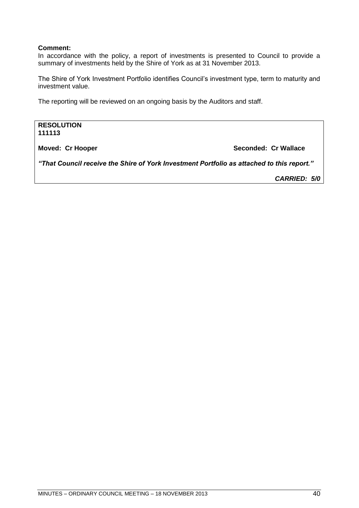#### **Comment:**

In accordance with the policy, a report of investments is presented to Council to provide a summary of investments held by the Shire of York as at 31 November 2013.

The Shire of York Investment Portfolio identifies Council"s investment type, term to maturity and investment value.

The reporting will be reviewed on an ongoing basis by the Auditors and staff.

**RESOLUTION 111113**

**Moved: Cr Hooper Seconded: Cr Wallace**

*―That Council receive the Shire of York Investment Portfolio as attached to this report.‖*

*CARRIED: 5/0*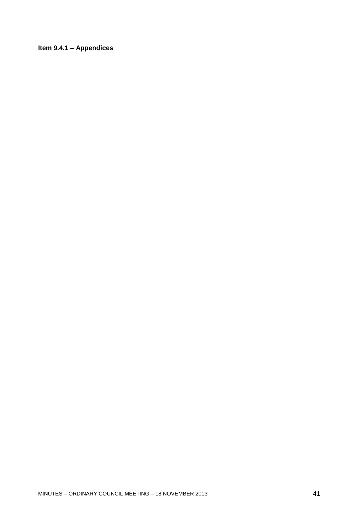<span id="page-40-0"></span>**Item 9.4.1 – Appendices**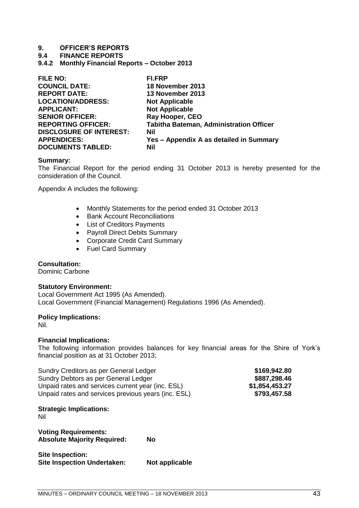**9.4 FINANCE REPORTS**

<span id="page-42-0"></span>**9.4.2 Monthly Financial Reports – October 2013**

| <b>FILE NO:</b>                | <b>FI.FRP</b>                           |
|--------------------------------|-----------------------------------------|
| <b>COUNCIL DATE:</b>           | 18 November 2013                        |
| <b>REPORT DATE:</b>            | 13 November 2013                        |
| <b>LOCATION/ADDRESS:</b>       | <b>Not Applicable</b>                   |
| <b>APPLICANT:</b>              | <b>Not Applicable</b>                   |
| <b>SENIOR OFFICER:</b>         | Ray Hooper, CEO                         |
| <b>REPORTING OFFICER:</b>      | Tabitha Bateman, Administration Officer |
| <b>DISCLOSURE OF INTEREST:</b> | <b>Nil</b>                              |
| <b>APPENDICES:</b>             | Yes - Appendix A as detailed in Summary |
| <b>DOCUMENTS TABLED:</b>       | Nil                                     |

#### **Summary:**

The Financial Report for the period ending 31 October 2013 is hereby presented for the consideration of the Council.

Appendix A includes the following:

- Monthly Statements for the period ended 31 October 2013
- Bank Account Reconciliations
- List of Creditors Payments
- Payroll Direct Debits Summary
- Corporate Credit Card Summary
- Fuel Card Summary

#### **Consultation:**

Dominic Carbone

#### **Statutory Environment:**

Local Government Act 1995 (As Amended). Local Government (Financial Management) Regulations 1996 (As Amended).

#### **Policy Implications:**

Nil.

#### **Financial Implications:**

The following information provides balances for key financial areas for the Shire of York"s financial position as at 31 October 2013;

| Sundry Creditors as per General Ledger              | \$169,942.80   |
|-----------------------------------------------------|----------------|
| Sundry Debtors as per General Ledger                | \$887,298.46   |
| Unpaid rates and services current year (inc. ESL)   | \$1,854,453.27 |
| Unpaid rates and services previous years (inc. ESL) | \$793,457.58   |

#### **Strategic Implications:**

Nil

**Voting Requirements: Absolute Majority Required: No**

**Site Inspection: Site Inspection Undertaken: Not applicable**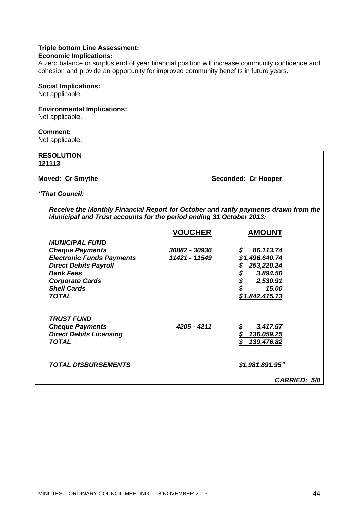#### **Triple bottom Line Assessment:**

#### **Economic Implications:**

A zero balance or surplus end of year financial position will increase community confidence and cohesion and provide an opportunity for improved community benefits in future years.

#### **Social Implications:**

Not applicable.

#### **Environmental Implications:**

Not applicable.

#### **Comment:**

Not applicable.

*TRUST FUND*

*Direct Debits Licensing<br><i>TOTAL* 

| <b>RESOLUTION</b><br>121113                                                                                                                                |                |                     |  |  |
|------------------------------------------------------------------------------------------------------------------------------------------------------------|----------------|---------------------|--|--|
| <b>Moved: Cr Smythe</b>                                                                                                                                    |                | Seconded: Cr Hooper |  |  |
| "That Council:                                                                                                                                             |                |                     |  |  |
| Receive the Monthly Financial Report for October and ratify payments drawn from the<br>Municipal and Trust accounts for the period ending 31 October 2013: |                |                     |  |  |
|                                                                                                                                                            | <b>VOUCHER</b> | <b>AMOUNT</b>       |  |  |
| <b>MUNICIPAL FUND</b>                                                                                                                                      |                |                     |  |  |
| <b>Cheque Payments</b>                                                                                                                                     | 30882 - 30936  | 86,113.74<br>S      |  |  |
| <b>Electronic Funds Payments</b>                                                                                                                           | 11421 - 11549  | \$1,496,640.74      |  |  |
| <b>Direct Debits Payroll</b>                                                                                                                               |                | 253,220.24          |  |  |
| <b>Bank Fees</b>                                                                                                                                           |                | \$<br>3,894.50      |  |  |
| <b>Corporate Cards</b>                                                                                                                                     |                | \$<br>2,530.91      |  |  |
| <b>Shell Cards</b>                                                                                                                                         |                | 15.00               |  |  |
| TOTAL                                                                                                                                                      |                | \$1,842,415.13      |  |  |
|                                                                                                                                                            |                |                     |  |  |

*Cheque Payments 4205 - 4211 \$ 3,417.57*

*TOTAL DISBURSEMENTS \$1,981,891.95‖*

| MINUTES – ORDINARY COUNCIL MEETING – 18 NOVEMBER 2013 |  |
|-------------------------------------------------------|--|
|-------------------------------------------------------|--|

*CARRIED: 5/0*

*TOTAL \$ 139,476.82*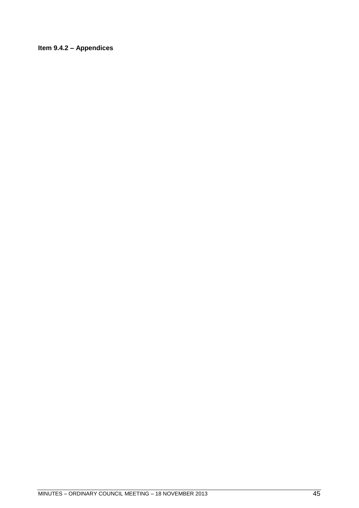### <span id="page-44-0"></span>**Item 9.4.2 – Appendices**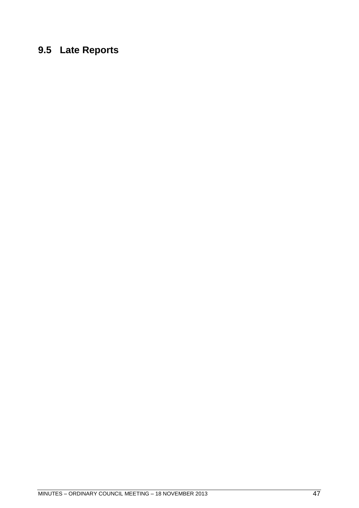# <span id="page-46-0"></span>**9.5 Late Reports**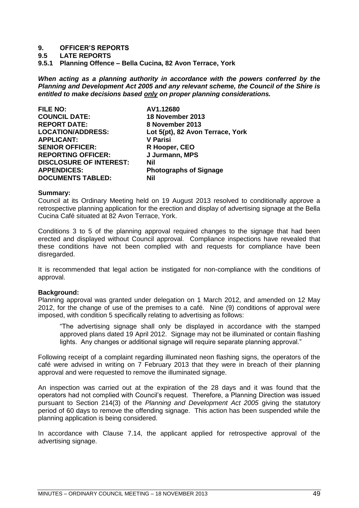#### **9.5 LATE REPORTS**

<span id="page-48-0"></span>**9.5.1 Planning Offence – Bella Cucina, 82 Avon Terrace, York**

*When acting as a planning authority in accordance with the powers conferred by the Planning and Development Act 2005 and any relevant scheme, the Council of the Shire is entitled to make decisions based only on proper planning considerations.*

| <b>FILE NO:</b>                | AV1.12680                        |
|--------------------------------|----------------------------------|
| <b>COUNCIL DATE:</b>           | 18 November 2013                 |
| <b>REPORT DATE:</b>            | 8 November 2013                  |
| <b>LOCATION/ADDRESS:</b>       | Lot 5(pt), 82 Avon Terrace, York |
| <b>APPLICANT:</b>              | <b>V Parisi</b>                  |
| <b>SENIOR OFFICER:</b>         | R Hooper, CEO                    |
| <b>REPORTING OFFICER:</b>      | J Jurmann, MPS                   |
| <b>DISCLOSURE OF INTEREST:</b> | Nil                              |
| <b>APPENDICES:</b>             | <b>Photographs of Signage</b>    |
| <b>DOCUMENTS TABLED:</b>       | Nil                              |
|                                |                                  |

#### **Summary:**

Council at its Ordinary Meeting held on 19 August 2013 resolved to conditionally approve a retrospective planning application for the erection and display of advertising signage at the Bella Cucina Café situated at 82 Avon Terrace, York.

Conditions 3 to 5 of the planning approval required changes to the signage that had been erected and displayed without Council approval. Compliance inspections have revealed that these conditions have not been complied with and requests for compliance have been disregarded.

It is recommended that legal action be instigated for non-compliance with the conditions of approval.

#### **Background:**

Planning approval was granted under delegation on 1 March 2012, and amended on 12 May 2012, for the change of use of the premises to a café. Nine (9) conditions of approval were imposed, with condition 5 specifically relating to advertising as follows:

"The advertising signage shall only be displayed in accordance with the stamped approved plans dated 19 April 2012. Signage may not be illuminated or contain flashing lights. Any changes or additional signage will require separate planning approval."

Following receipt of a complaint regarding illuminated neon flashing signs, the operators of the café were advised in writing on 7 February 2013 that they were in breach of their planning approval and were requested to remove the illuminated signage.

An inspection was carried out at the expiration of the 28 days and it was found that the operators had not complied with Council"s request. Therefore, a Planning Direction was issued pursuant to Section 214(3) of the *Planning and Development Act 2005* giving the statutory period of 60 days to remove the offending signage. This action has been suspended while the planning application is being considered.

In accordance with Clause 7.14, the applicant applied for retrospective approval of the advertising signage.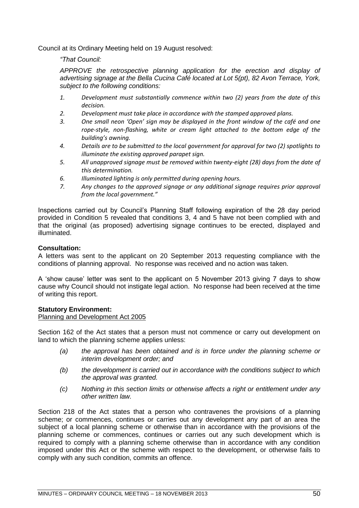Council at its Ordinary Meeting held on 19 August resolved:

*―That Council:* 

*APPROVE the retrospective planning application for the erection and display of advertising signage at the Bella Cucina Café located at Lot 5(pt), 82 Avon Terrace, York, subject to the following conditions:*

- *1. Development must substantially commence within two (2) years from the date of this decision.*
- *2. Development must take place in accordance with the stamped approved plans.*
- *3. One small neon 'Open' sign may be displayed in the front window of the café and one rope-style, non-flashing, white or cream light attached to the bottom edge of the building's awning.*
- *4. Details are to be submitted to the local government for approval for two (2) spotlights to illuminate the existing approved parapet sign.*
- *5. All unapproved signage must be removed within twenty-eight (28) days from the date of this determination.*
- *6. Illuminated lighting is only permitted during opening hours.*
- *7. Any changes to the approved signage or any additional signage requires prior approval from the local government."*

Inspections carried out by Council"s Planning Staff following expiration of the 28 day period provided in Condition 5 revealed that conditions 3, 4 and 5 have not been complied with and that the original (as proposed) advertising signage continues to be erected, displayed and illuminated.

#### **Consultation:**

A letters was sent to the applicant on 20 September 2013 requesting compliance with the conditions of planning approval. No response was received and no action was taken.

A "show cause" letter was sent to the applicant on 5 November 2013 giving 7 days to show cause why Council should not instigate legal action. No response had been received at the time of writing this report.

#### **Statutory Environment:**

#### Planning and Development Act 2005

Section 162 of the Act states that a person must not commence or carry out development on land to which the planning scheme applies unless:

- *(a) the approval has been obtained and is in force under the planning scheme or interim development order; and*
- *(b) the development is carried out in accordance with the conditions subject to which the approval was granted.*
- *(c) Nothing in this section limits or otherwise affects a right or entitlement under any other written law.*

Section 218 of the Act states that a person who contravenes the provisions of a planning scheme; or commences, continues or carries out any development any part of an area the subject of a local planning scheme or otherwise than in accordance with the provisions of the planning scheme or commences, continues or carries out any such development which is required to comply with a planning scheme otherwise than in accordance with any condition imposed under this Act or the scheme with respect to the development, or otherwise fails to comply with any such condition, commits an offence.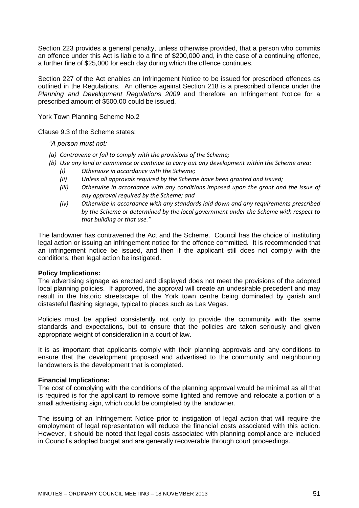Section 223 provides a general penalty, unless otherwise provided, that a person who commits an offence under this Act is liable to a fine of \$200,000 and, in the case of a continuing offence, a further fine of \$25,000 for each day during which the offence continues.

Section 227 of the Act enables an Infringement Notice to be issued for prescribed offences as outlined in the Regulations. An offence against Section 218 is a prescribed offence under the *Planning and Development Regulations 2009* and therefore an Infringement Notice for a prescribed amount of \$500.00 could be issued.

#### York Town Planning Scheme No.2

Clause 9.3 of the Scheme states:

*―A person must not:*

- *(a) Contravene or fail to comply with the provisions of the Scheme;*
- *(b) Use any land or commence or continue to carry out any development within the Scheme area: (i) Otherwise in accordance with the Scheme;*
	- *(ii) Unless all approvals required by the Scheme have been granted and issued;*
	- *(iii) Otherwise in accordance with any conditions imposed upon the grant and the issue of any approval required by the Scheme; and*
	- *(iv) Otherwise in accordance with any standards laid down and any requirements prescribed by the Scheme or determined by the local government under the Scheme with respect to that building or that use."*

The landowner has contravened the Act and the Scheme. Council has the choice of instituting legal action or issuing an infringement notice for the offence committed. It is recommended that an infringement notice be issued, and then if the applicant still does not comply with the conditions, then legal action be instigated.

#### **Policy Implications:**

The advertising signage as erected and displayed does not meet the provisions of the adopted local planning policies. If approved, the approval will create an undesirable precedent and may result in the historic streetscape of the York town centre being dominated by garish and distasteful flashing signage, typical to places such as Las Vegas.

Policies must be applied consistently not only to provide the community with the same standards and expectations, but to ensure that the policies are taken seriously and given appropriate weight of consideration in a court of law.

It is as important that applicants comply with their planning approvals and any conditions to ensure that the development proposed and advertised to the community and neighbouring landowners is the development that is completed.

#### **Financial Implications:**

The cost of complying with the conditions of the planning approval would be minimal as all that is required is for the applicant to remove some lighted and remove and relocate a portion of a small advertising sign, which could be completed by the landowner.

The issuing of an Infringement Notice prior to instigation of legal action that will require the employment of legal representation will reduce the financial costs associated with this action. However, it should be noted that legal costs associated with planning compliance are included in Council"s adopted budget and are generally recoverable through court proceedings.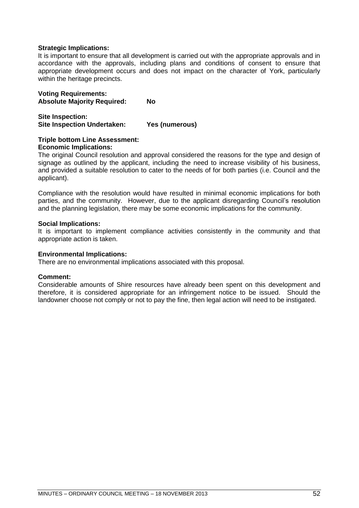#### **Strategic Implications:**

It is important to ensure that all development is carried out with the appropriate approvals and in accordance with the approvals, including plans and conditions of consent to ensure that appropriate development occurs and does not impact on the character of York, particularly within the heritage precincts.

**Voting Requirements: Absolute Majority Required: No**

**Site Inspection: Site Inspection Undertaken: Yes (numerous)**

#### **Triple bottom Line Assessment: Economic Implications:**

The original Council resolution and approval considered the reasons for the type and design of signage as outlined by the applicant, including the need to increase visibility of his business, and provided a suitable resolution to cater to the needs of for both parties (i.e. Council and the applicant).

Compliance with the resolution would have resulted in minimal economic implications for both parties, and the community. However, due to the applicant disregarding Council"s resolution and the planning legislation, there may be some economic implications for the community.

#### **Social Implications:**

It is important to implement compliance activities consistently in the community and that appropriate action is taken.

#### **Environmental Implications:**

There are no environmental implications associated with this proposal.

#### **Comment:**

Considerable amounts of Shire resources have already been spent on this development and therefore, it is considered appropriate for an infringement notice to be issued. Should the landowner choose not comply or not to pay the fine, then legal action will need to be instigated.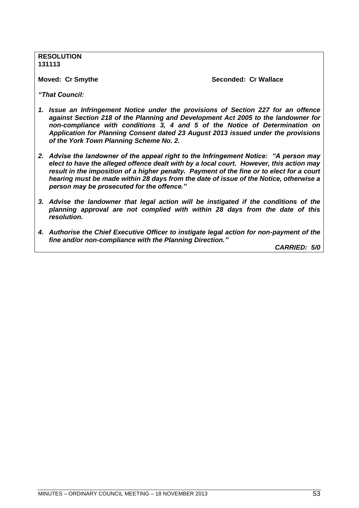**RESOLUTION 131113**

**Moved: Cr Smythe Seconded: Cr Wallace**

*―That Council:*

- *1. Issue an Infringement Notice under the provisions of Section 227 for an offence against Section 218 of the Planning and Development Act 2005 to the landowner for non-compliance with conditions 3, 4 and 5 of the Notice of Determination on Application for Planning Consent dated 23 August 2013 issued under the provisions of the York Town Planning Scheme No. 2.*
- 2. Advise the landowner of the appeal right to the Infringement Notice: "A person may *elect to have the alleged offence dealt with by a local court. However, this action may result in the imposition of a higher penalty. Payment of the fine or to elect for a court hearing must be made within 28 days from the date of issue of the Notice, otherwise a person may be prosecuted for the offence.‖*
- *3. Advise the landowner that legal action will be instigated if the conditions of the planning approval are not complied with within 28 days from the date of this resolution.*
- *4. Authorise the Chief Executive Officer to instigate legal action for non-payment of the fine and/or non-compliance with the Planning Direction.‖*

*CARRIED: 5/0*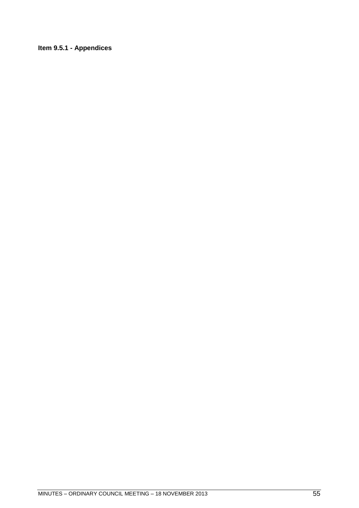### <span id="page-54-0"></span>**Item 9.5.1 - Appendices**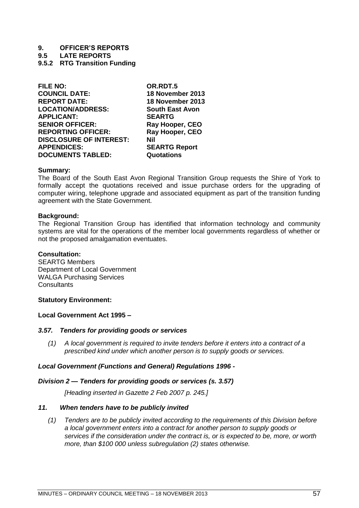**9.5 LATE REPORTS**

<span id="page-56-0"></span>**9.5.2 RTG Transition Funding**

| <b>FILE NO:</b>                | OR.RDT.5               |
|--------------------------------|------------------------|
| <b>COUNCIL DATE:</b>           | 18 November 2013       |
| <b>REPORT DATE:</b>            | 18 November 2013       |
| <b>LOCATION/ADDRESS:</b>       | <b>South East Avon</b> |
| <b>APPLICANT:</b>              | <b>SEARTG</b>          |
| <b>SENIOR OFFICER:</b>         | Ray Hooper, CEO        |
| <b>REPORTING OFFICER:</b>      | Ray Hooper, CEO        |
| <b>DISCLOSURE OF INTEREST:</b> | Nil                    |
| <b>APPENDICES:</b>             | <b>SEARTG Report</b>   |
| <b>DOCUMENTS TABLED:</b>       | Quotations             |
|                                |                        |

#### **Summary:**

The Board of the South East Avon Regional Transition Group requests the Shire of York to formally accept the quotations received and issue purchase orders for the upgrading of computer wiring, telephone upgrade and associated equipment as part of the transition funding agreement with the State Government.

#### **Background:**

The Regional Transition Group has identified that information technology and community systems are vital for the operations of the member local governments regardless of whether or not the proposed amalgamation eventuates.

#### **Consultation:**

SEARTG Members Department of Local Government WALGA Purchasing Services **Consultants** 

#### **Statutory Environment:**

#### **Local Government Act 1995 –**

#### *3.57. Tenders for providing goods or services*

*(1) A local government is required to invite tenders before it enters into a contract of a prescribed kind under which another person is to supply goods or services.*

#### *Local Government (Functions and General) Regulations 1996 -*

#### *Division 2 — Tenders for providing goods or services (s. 3.57)*

*[Heading inserted in Gazette 2 Feb 2007 p. 245.]*

#### *11. When tenders have to be publicly invited*

*(1) Tenders are to be publicly invited according to the requirements of this Division before a local government enters into a contract for another person to supply goods or services if the consideration under the contract is, or is expected to be, more, or worth more, than \$100 000 unless subregulation (2) states otherwise.*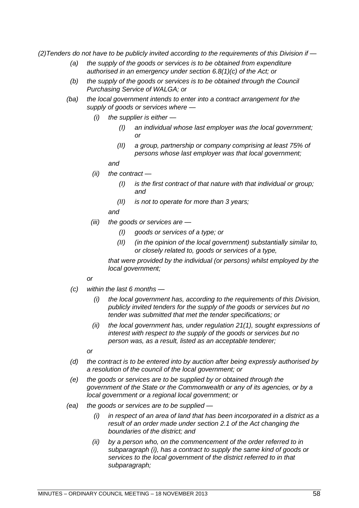*(2)Tenders do not have to be publicly invited according to the requirements of this Division if —*

- *(a) the supply of the goods or services is to be obtained from expenditure authorised in an emergency under section 6.8(1)(c) of the Act; or*
- *(b) the supply of the goods or services is to be obtained through the Council Purchasing Service of WALGA; or*
- *(ba) the local government intends to enter into a contract arrangement for the supply of goods or services where —*
	- *(i) the supplier is either —*
		- *(I) an individual whose last employer was the local government; or*
		- *(II) a group, partnership or company comprising at least 75% of persons whose last employer was that local government;*

*and*

- *(ii) the contract —*
	- *(I) is the first contract of that nature with that individual or group; and*
	- *(II) is not to operate for more than 3 years;*

*and*

- *(iii) the goods or services are —*
	- *(I) goods or services of a type; or*
	- *(II) (in the opinion of the local government) substantially similar to, or closely related to, goods or services of a type,*

*that were provided by the individual (or persons) whilst employed by the local government;*

#### *or*

- *(c) within the last 6 months —*
	- *(i) the local government has, according to the requirements of this Division, publicly invited tenders for the supply of the goods or services but no tender was submitted that met the tender specifications; or*
	- *(ii) the local government has, under regulation 21(1), sought expressions of interest with respect to the supply of the goods or services but no person was, as a result, listed as an acceptable tenderer;*

*or*

- *(d) the contract is to be entered into by auction after being expressly authorised by a resolution of the council of the local government; or*
- *(e) the goods or services are to be supplied by or obtained through the government of the State or the Commonwealth or any of its agencies, or by a local government or a regional local government; or*
- *(ea) the goods or services are to be supplied —*
	- *(i) in respect of an area of land that has been incorporated in a district as a result of an order made under section 2.1 of the Act changing the boundaries of the district; and*
	- *(ii) by a person who, on the commencement of the order referred to in subparagraph (i), has a contract to supply the same kind of goods or services to the local government of the district referred to in that subparagraph;*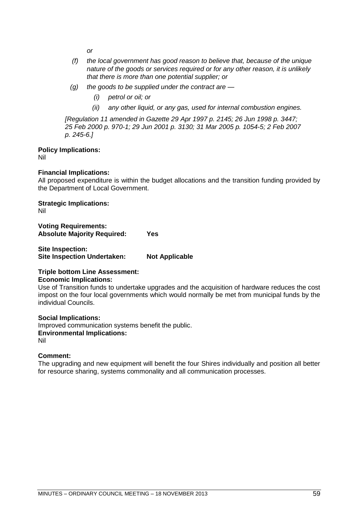*or*

- *(f) the local government has good reason to believe that, because of the unique nature of the goods or services required or for any other reason, it is unlikely that there is more than one potential supplier; or*
- *(g) the goods to be supplied under the contract are —*
	- *(i) petrol or oil; or*
	- *(ii) any other liquid, or any gas, used for internal combustion engines.*

*[Regulation 11 amended in Gazette 29 Apr 1997 p. 2145; 26 Jun 1998 p. 3447; 25 Feb 2000 p. 970-1; 29 Jun 2001 p. 3130; 31 Mar 2005 p. 1054-5; 2 Feb 2007 p. 245-6.]*

**Policy Implications:**

Nil

#### **Financial Implications:**

All proposed expenditure is within the budget allocations and the transition funding provided by the Department of Local Government.

**Strategic Implications:** Nil

**Voting Requirements: Absolute Majority Required: Yes**

**Site Inspection: Site Inspection Undertaken: Not Applicable**

#### **Triple bottom Line Assessment: Economic Implications:**

Use of Transition funds to undertake upgrades and the acquisition of hardware reduces the cost impost on the four local governments which would normally be met from municipal funds by the individual Councils.

**Social Implications:** Improved communication systems benefit the public. **Environmental Implications:** Nil

**Comment:**

The upgrading and new equipment will benefit the four Shires individually and position all better for resource sharing, systems commonality and all communication processes.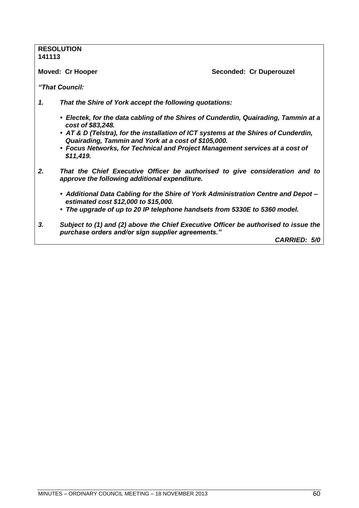### **RESOLUTION 141113 Moved: Cr Hooper Seconded: Cr Duperouzel** *―That Council: 1. That the Shire of York accept the following quotations: • Electek, for the data cabling of the Shires of Cunderdin, Quairading, Tammin at a cost of \$83,248. • AT & D (Telstra), for the installation of ICT systems at the Shires of Cunderdin, Quairading, Tammin and York at a cost of \$105,000. • Focus Networks, for Technical and Project Management services at a cost of \$11,419. 2. That the Chief Executive Officer be authorised to give consideration and to approve the following additional expenditure.*

- *Additional Data Cabling for the Shire of York Administration Centre and Depot – estimated cost \$12,000 to \$15,000.*
- *The upgrade of up to 20 IP telephone handsets from 5330E to 5360 model.*
- *3. Subject to (1) and (2) above the Chief Executive Officer be authorised to issue the purchase orders and/or sign supplier agreements.‖*

*CARRIED: 5/0*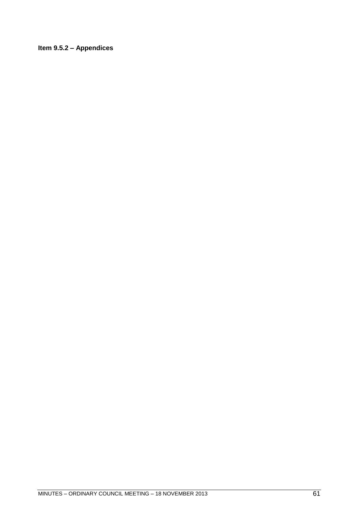### <span id="page-60-0"></span>**Item 9.5.2 – Appendices**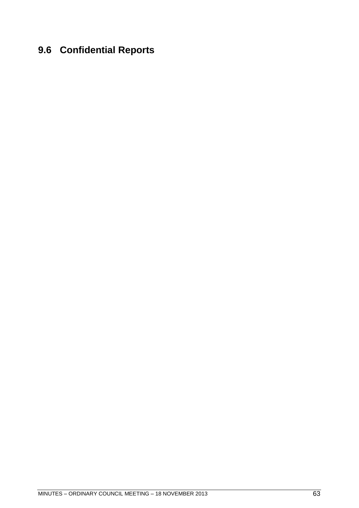# <span id="page-62-0"></span>**9.6 Confidential Reports**